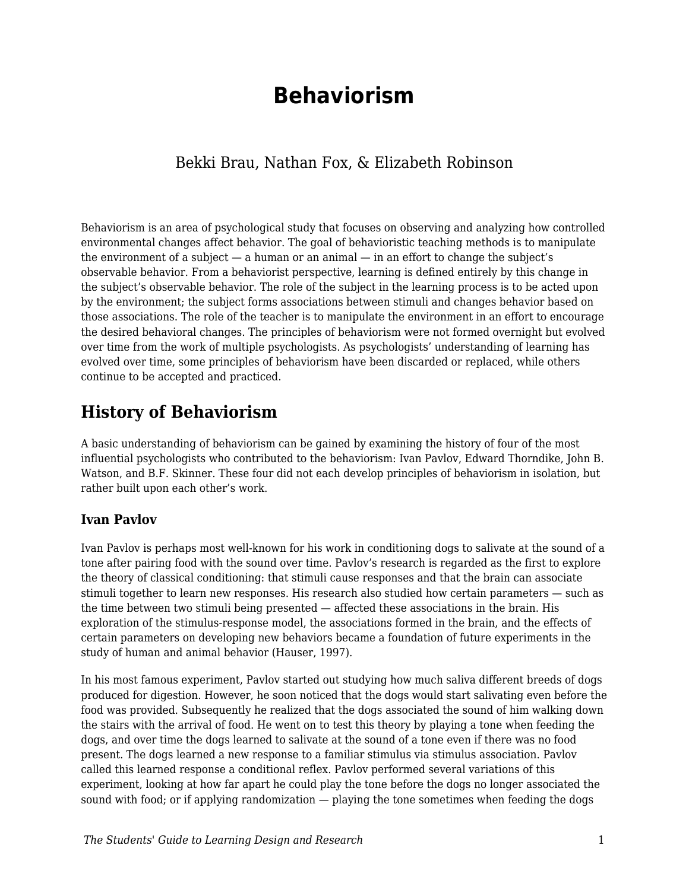# **Behaviorism**

### Bekki Brau, Nathan Fox, & Elizabeth Robinson

Behaviorism is an area of psychological study that focuses on observing and analyzing how controlled environmental changes affect behavior. The goal of behavioristic teaching methods is to manipulate the environment of a subject  $-$  a human or an animal  $-$  in an effort to change the subject's observable behavior. From a behaviorist perspective, learning is defined entirely by this change in the subject's observable behavior. The role of the subject in the learning process is to be acted upon by the environment; the subject forms associations between stimuli and changes behavior based on those associations. The role of the teacher is to manipulate the environment in an effort to encourage the desired behavioral changes. The principles of behaviorism were not formed overnight but evolved over time from the work of multiple psychologists. As psychologists' understanding of learning has evolved over time, some principles of behaviorism have been discarded or replaced, while others continue to be accepted and practiced.

## **History of Behaviorism**

A basic understanding of behaviorism can be gained by examining the history of four of the most influential psychologists who contributed to the behaviorism: Ivan Pavlov, Edward Thorndike, John B. Watson, and B.F. Skinner. These four did not each develop principles of behaviorism in isolation, but rather built upon each other's work.

#### **Ivan Pavlov**

Ivan Pavlov is perhaps most well-known for his work in conditioning dogs to salivate at the sound of a tone after pairing food with the sound over time. Pavlov's research is regarded as the first to explore the theory of classical conditioning: that stimuli cause responses and that the brain can associate stimuli together to learn new responses. His research also studied how certain parameters — such as the time between two stimuli being presented — affected these associations in the brain. His exploration of the stimulus-response model, the associations formed in the brain, and the effects of certain parameters on developing new behaviors became a foundation of future experiments in the study of human and animal behavior (Hauser, 1997).

In his most famous experiment, Pavlov started out studying how much saliva different breeds of dogs produced for digestion. However, he soon noticed that the dogs would start salivating even before the food was provided. Subsequently he realized that the dogs associated the sound of him walking down the stairs with the arrival of food. He went on to test this theory by playing a tone when feeding the dogs, and over time the dogs learned to salivate at the sound of a tone even if there was no food present. The dogs learned a new response to a familiar stimulus via stimulus association. Pavlov called this learned response a conditional reflex. Pavlov performed several variations of this experiment, looking at how far apart he could play the tone before the dogs no longer associated the sound with food; or if applying randomization — playing the tone sometimes when feeding the dogs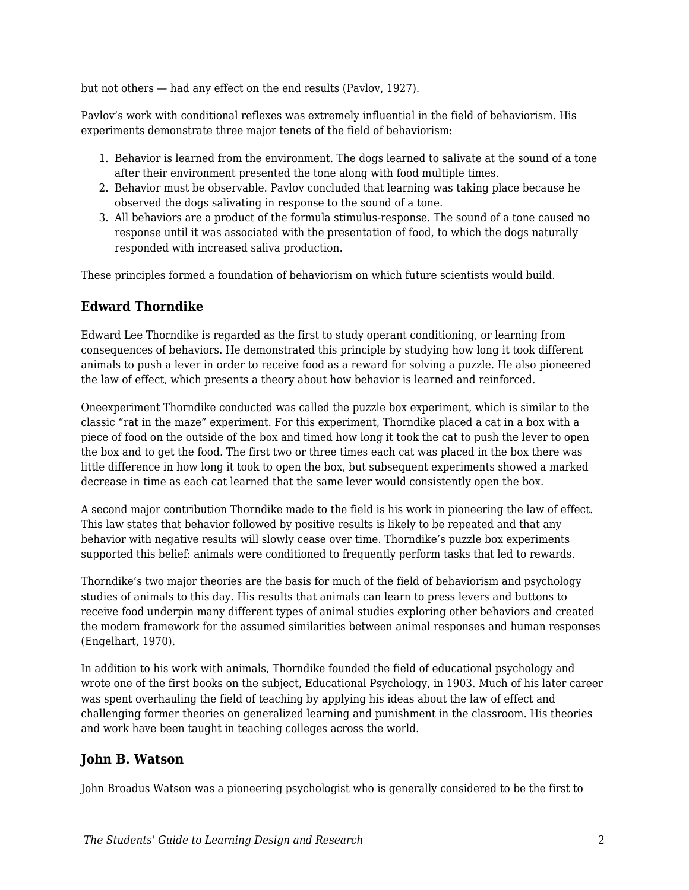but not others — had any effect on the end results (Pavlov, 1927).

Pavlov's work with conditional reflexes was extremely influential in the field of behaviorism. His experiments demonstrate three major tenets of the field of behaviorism:

- 1. Behavior is learned from the environment. The dogs learned to salivate at the sound of a tone after their environment presented the tone along with food multiple times.
- 2. Behavior must be observable. Pavlov concluded that learning was taking place because he observed the dogs salivating in response to the sound of a tone.
- 3. All behaviors are a product of the formula stimulus-response. The sound of a tone caused no response until it was associated with the presentation of food, to which the dogs naturally responded with increased saliva production.

These principles formed a foundation of behaviorism on which future scientists would build.

#### **Edward Thorndike**

Edward Lee Thorndike is regarded as the first to study operant conditioning, or learning from consequences of behaviors. He demonstrated this principle by studying how long it took different animals to push a lever in order to receive food as a reward for solving a puzzle. He also pioneered the law of effect, which presents a theory about how behavior is learned and reinforced.

Oneexperiment Thorndike conducted was called the puzzle box experiment, which is similar to the classic "rat in the maze" experiment. For this experiment, Thorndike placed a cat in a box with a piece of food on the outside of the box and timed how long it took the cat to push the lever to open the box and to get the food. The first two or three times each cat was placed in the box there was little difference in how long it took to open the box, but subsequent experiments showed a marked decrease in time as each cat learned that the same lever would consistently open the box.

A second major contribution Thorndike made to the field is his work in pioneering the law of effect. This law states that behavior followed by positive results is likely to be repeated and that any behavior with negative results will slowly cease over time. Thorndike's puzzle box experiments supported this belief: animals were conditioned to frequently perform tasks that led to rewards.

Thorndike's two major theories are the basis for much of the field of behaviorism and psychology studies of animals to this day. His results that animals can learn to press levers and buttons to receive food underpin many different types of animal studies exploring other behaviors and created the modern framework for the assumed similarities between animal responses and human responses (Engelhart, 1970).

In addition to his work with animals, Thorndike founded the field of educational psychology and wrote one of the first books on the subject, Educational Psychology, in 1903. Much of his later career was spent overhauling the field of teaching by applying his ideas about the law of effect and challenging former theories on generalized learning and punishment in the classroom. His theories and work have been taught in teaching colleges across the world.

#### **John B. Watson**

John Broadus Watson was a pioneering psychologist who is generally considered to be the first to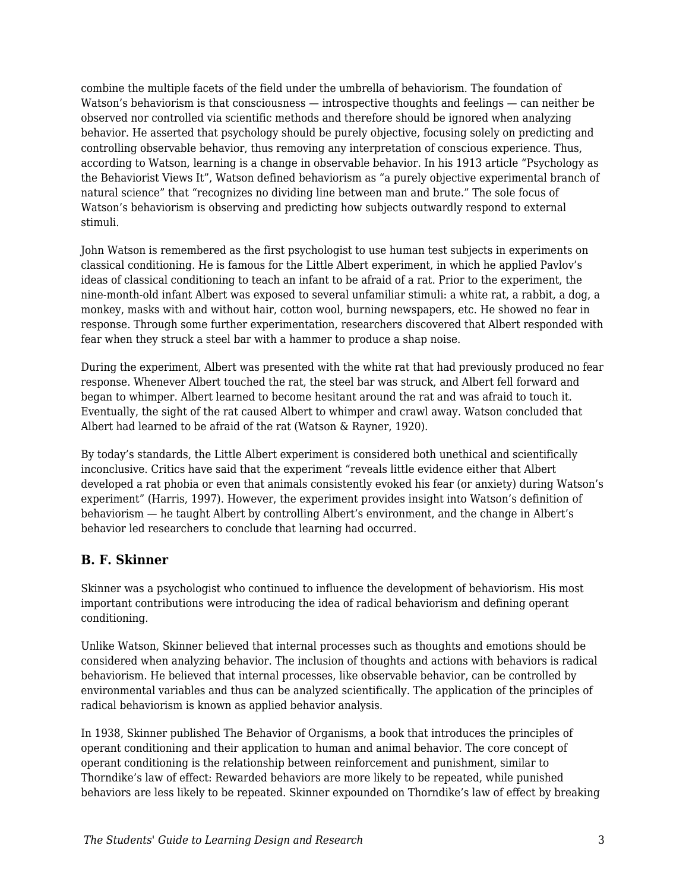combine the multiple facets of the field under the umbrella of behaviorism. The foundation of Watson's behaviorism is that consciousness — introspective thoughts and feelings — can neither be observed nor controlled via scientific methods and therefore should be ignored when analyzing behavior. He asserted that psychology should be purely objective, focusing solely on predicting and controlling observable behavior, thus removing any interpretation of conscious experience. Thus, according to Watson, learning is a change in observable behavior. In his 1913 article "Psychology as the Behaviorist Views It", Watson defined behaviorism as "a purely objective experimental branch of natural science" that "recognizes no dividing line between man and brute." The sole focus of Watson's behaviorism is observing and predicting how subjects outwardly respond to external stimuli.

John Watson is remembered as the first psychologist to use human test subjects in experiments on classical conditioning. He is famous for the Little Albert experiment, in which he applied Pavlov's ideas of classical conditioning to teach an infant to be afraid of a rat. Prior to the experiment, the nine-month-old infant Albert was exposed to several unfamiliar stimuli: a white rat, a rabbit, a dog, a monkey, masks with and without hair, cotton wool, burning newspapers, etc. He showed no fear in response. Through some further experimentation, researchers discovered that Albert responded with fear when they struck a steel bar with a hammer to produce a shap noise.

During the experiment, Albert was presented with the white rat that had previously produced no fear response. Whenever Albert touched the rat, the steel bar was struck, and Albert fell forward and began to whimper. Albert learned to become hesitant around the rat and was afraid to touch it. Eventually, the sight of the rat caused Albert to whimper and crawl away. Watson concluded that Albert had learned to be afraid of the rat (Watson & Rayner, 1920).

By today's standards, the Little Albert experiment is considered both unethical and scientifically inconclusive. Critics have said that the experiment "reveals little evidence either that Albert developed a rat phobia or even that animals consistently evoked his fear (or anxiety) during Watson's experiment" (Harris, 1997). However, the experiment provides insight into Watson's definition of behaviorism — he taught Albert by controlling Albert's environment, and the change in Albert's behavior led researchers to conclude that learning had occurred.

#### **B. F. Skinner**

Skinner was a psychologist who continued to influence the development of behaviorism. His most important contributions were introducing the idea of radical behaviorism and defining operant conditioning.

Unlike Watson, Skinner believed that internal processes such as thoughts and emotions should be considered when analyzing behavior. The inclusion of thoughts and actions with behaviors is radical behaviorism. He believed that internal processes, like observable behavior, can be controlled by environmental variables and thus can be analyzed scientifically. The application of the principles of radical behaviorism is known as applied behavior analysis.

In 1938, Skinner published The Behavior of Organisms, a book that introduces the principles of operant conditioning and their application to human and animal behavior. The core concept of operant conditioning is the relationship between reinforcement and punishment, similar to Thorndike's law of effect: Rewarded behaviors are more likely to be repeated, while punished behaviors are less likely to be repeated. Skinner expounded on Thorndike's law of effect by breaking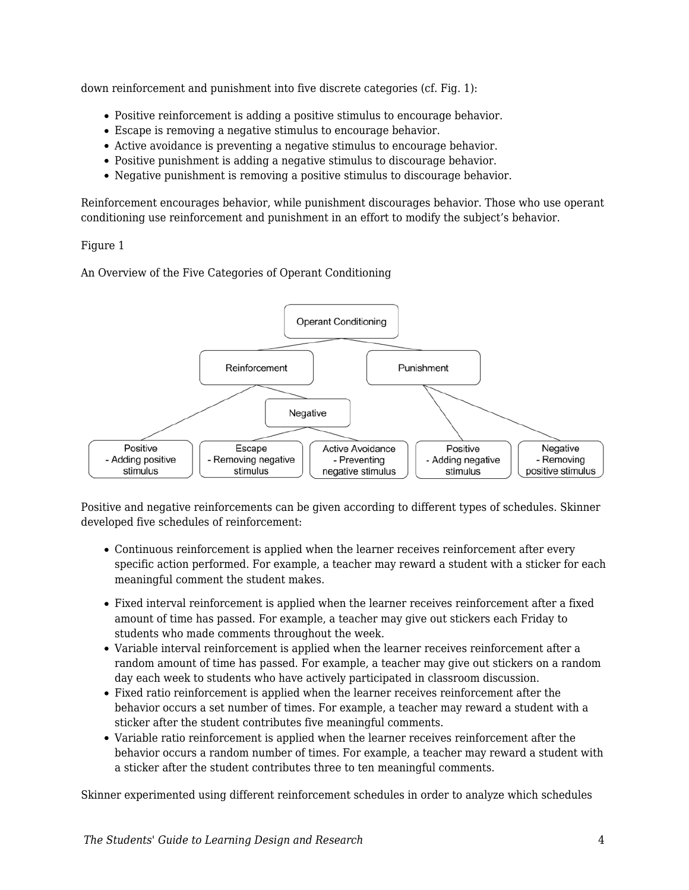down reinforcement and punishment into five discrete categories (cf. Fig. 1):

- Positive reinforcement is adding a positive stimulus to encourage behavior.
- Escape is removing a negative stimulus to encourage behavior.
- Active avoidance is preventing a negative stimulus to encourage behavior.
- Positive punishment is adding a negative stimulus to discourage behavior.
- Negative punishment is removing a positive stimulus to discourage behavior.

Reinforcement encourages behavior, while punishment discourages behavior. Those who use operant conditioning use reinforcement and punishment in an effort to modify the subject's behavior.

#### Figure 1

An Overview of the Five Categories of Operant Conditioning



Positive and negative reinforcements can be given according to different types of schedules. Skinner developed five schedules of reinforcement:

- Continuous reinforcement is applied when the learner receives reinforcement after every specific action performed. For example, a teacher may reward a student with a sticker for each meaningful comment the student makes.
- Fixed interval reinforcement is applied when the learner receives reinforcement after a fixed amount of time has passed. For example, a teacher may give out stickers each Friday to students who made comments throughout the week.
- Variable interval reinforcement is applied when the learner receives reinforcement after a random amount of time has passed. For example, a teacher may give out stickers on a random day each week to students who have actively participated in classroom discussion.
- Fixed ratio reinforcement is applied when the learner receives reinforcement after the behavior occurs a set number of times. For example, a teacher may reward a student with a sticker after the student contributes five meaningful comments.
- Variable ratio reinforcement is applied when the learner receives reinforcement after the behavior occurs a random number of times. For example, a teacher may reward a student with a sticker after the student contributes three to ten meaningful comments.

Skinner experimented using different reinforcement schedules in order to analyze which schedules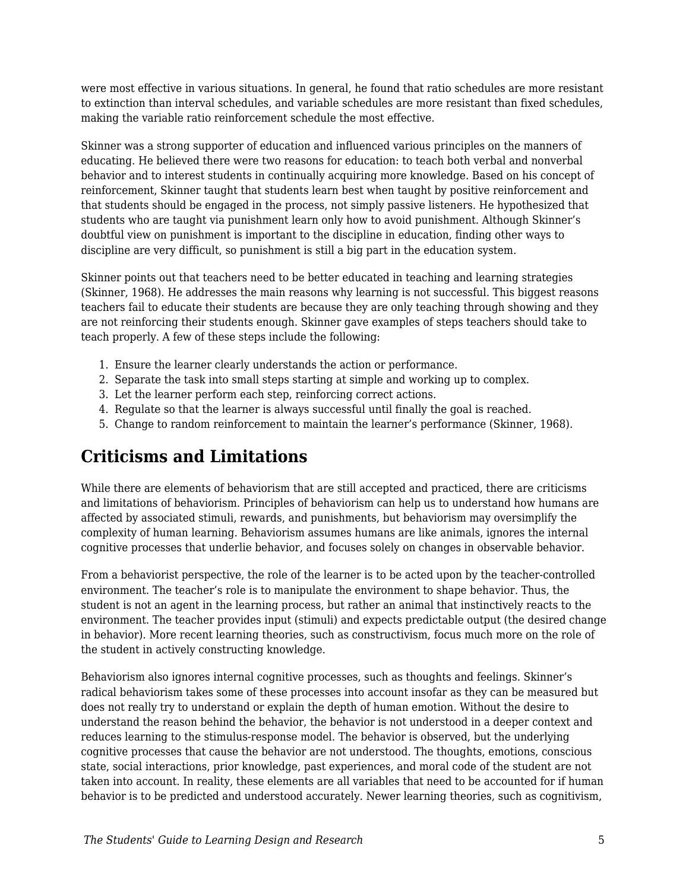were most effective in various situations. In general, he found that ratio schedules are more resistant to extinction than interval schedules, and variable schedules are more resistant than fixed schedules, making the variable ratio reinforcement schedule the most effective.

Skinner was a strong supporter of education and influenced various principles on the manners of educating. He believed there were two reasons for education: to teach both verbal and nonverbal behavior and to interest students in continually acquiring more knowledge. Based on his concept of reinforcement, Skinner taught that students learn best when taught by positive reinforcement and that students should be engaged in the process, not simply passive listeners. He hypothesized that students who are taught via punishment learn only how to avoid punishment. Although Skinner's doubtful view on punishment is important to the discipline in education, finding other ways to discipline are very difficult, so punishment is still a big part in the education system.

Skinner points out that teachers need to be better educated in teaching and learning strategies (Skinner, 1968). He addresses the main reasons why learning is not successful. This biggest reasons teachers fail to educate their students are because they are only teaching through showing and they are not reinforcing their students enough. Skinner gave examples of steps teachers should take to teach properly. A few of these steps include the following:

- 1. Ensure the learner clearly understands the action or performance.
- 2. Separate the task into small steps starting at simple and working up to complex.
- 3. Let the learner perform each step, reinforcing correct actions.
- 4. Regulate so that the learner is always successful until finally the goal is reached.
- 5. Change to random reinforcement to maintain the learner's performance (Skinner, 1968).

## **Criticisms and Limitations**

While there are elements of behaviorism that are still accepted and practiced, there are criticisms and limitations of behaviorism. Principles of behaviorism can help us to understand how humans are affected by associated stimuli, rewards, and punishments, but behaviorism may oversimplify the complexity of human learning. Behaviorism assumes humans are like animals, ignores the internal cognitive processes that underlie behavior, and focuses solely on changes in observable behavior.

From a behaviorist perspective, the role of the learner is to be acted upon by the teacher-controlled environment. The teacher's role is to manipulate the environment to shape behavior. Thus, the student is not an agent in the learning process, but rather an animal that instinctively reacts to the environment. The teacher provides input (stimuli) and expects predictable output (the desired change in behavior). More recent learning theories, such as constructivism, focus much more on the role of the student in actively constructing knowledge.

Behaviorism also ignores internal cognitive processes, such as thoughts and feelings. Skinner's radical behaviorism takes some of these processes into account insofar as they can be measured but does not really try to understand or explain the depth of human emotion. Without the desire to understand the reason behind the behavior, the behavior is not understood in a deeper context and reduces learning to the stimulus-response model. The behavior is observed, but the underlying cognitive processes that cause the behavior are not understood. The thoughts, emotions, conscious state, social interactions, prior knowledge, past experiences, and moral code of the student are not taken into account. In reality, these elements are all variables that need to be accounted for if human behavior is to be predicted and understood accurately. Newer learning theories, such as cognitivism,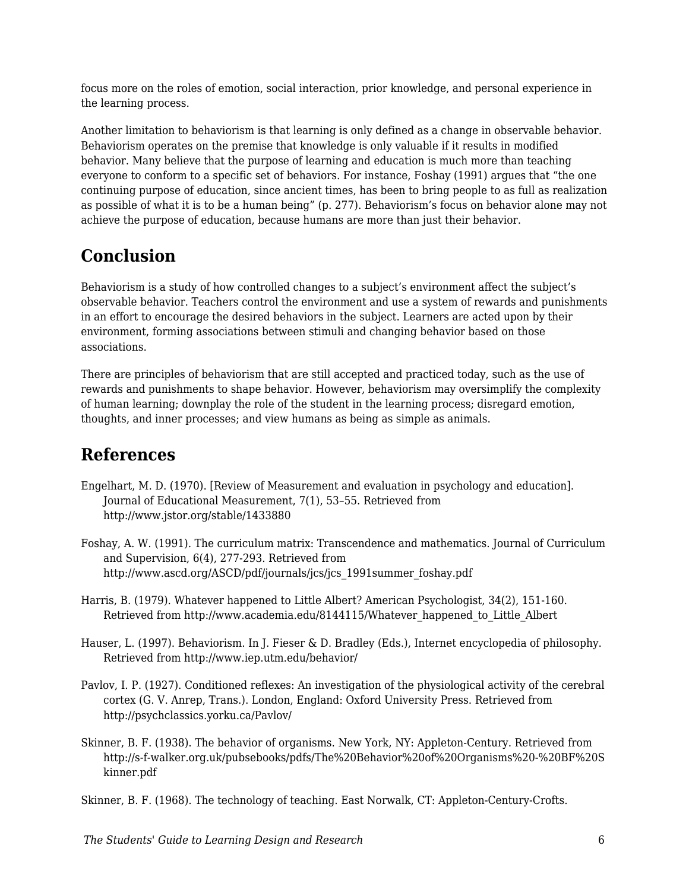focus more on the roles of emotion, social interaction, prior knowledge, and personal experience in the learning process.

Another limitation to behaviorism is that learning is only defined as a change in observable behavior. Behaviorism operates on the premise that knowledge is only valuable if it results in modified behavior. Many believe that the purpose of learning and education is much more than teaching everyone to conform to a specific set of behaviors. For instance, Foshay (1991) argues that "the one continuing purpose of education, since ancient times, has been to bring people to as full as realization as possible of what it is to be a human being" (p. 277). Behaviorism's focus on behavior alone may not achieve the purpose of education, because humans are more than just their behavior.

## **Conclusion**

Behaviorism is a study of how controlled changes to a subject's environment affect the subject's observable behavior. Teachers control the environment and use a system of rewards and punishments in an effort to encourage the desired behaviors in the subject. Learners are acted upon by their environment, forming associations between stimuli and changing behavior based on those associations.

There are principles of behaviorism that are still accepted and practiced today, such as the use of rewards and punishments to shape behavior. However, behaviorism may oversimplify the complexity of human learning; downplay the role of the student in the learning process; disregard emotion, thoughts, and inner processes; and view humans as being as simple as animals.

## **References**

- Engelhart, M. D. (1970). [Review of Measurement and evaluation in psychology and education]. Journal of Educational Measurement, 7(1), 53–55. Retrieved from http://www.jstor.org/stable/1433880
- Foshay, A. W. (1991). The curriculum matrix: Transcendence and mathematics. Journal of Curriculum and Supervision, 6(4), 277-293. Retrieved from http://www.ascd.org/ASCD/pdf/journals/jcs/jcs\_1991summer\_foshay.pdf
- Harris, B. (1979). Whatever happened to Little Albert? American Psychologist, 34(2), 151-160. Retrieved from http://www.academia.edu/8144115/Whatever\_happened\_to\_Little\_Albert
- Hauser, L. (1997). Behaviorism. In J. Fieser & D. Bradley (Eds.), Internet encyclopedia of philosophy. Retrieved from http://www.iep.utm.edu/behavior/
- Pavlov, I. P. (1927). Conditioned reflexes: An investigation of the physiological activity of the cerebral cortex (G. V. Anrep, Trans.). London, England: Oxford University Press. Retrieved from http://psychclassics.yorku.ca/Pavlov/
- Skinner, B. F. (1938). The behavior of organisms. New York, NY: Appleton-Century. Retrieved from http://s-f-walker.org.uk/pubsebooks/pdfs/The%20Behavior%20of%20Organisms%20-%20BF%20S kinner.pdf

Skinner, B. F. (1968). The technology of teaching. East Norwalk, CT: Appleton-Century-Crofts.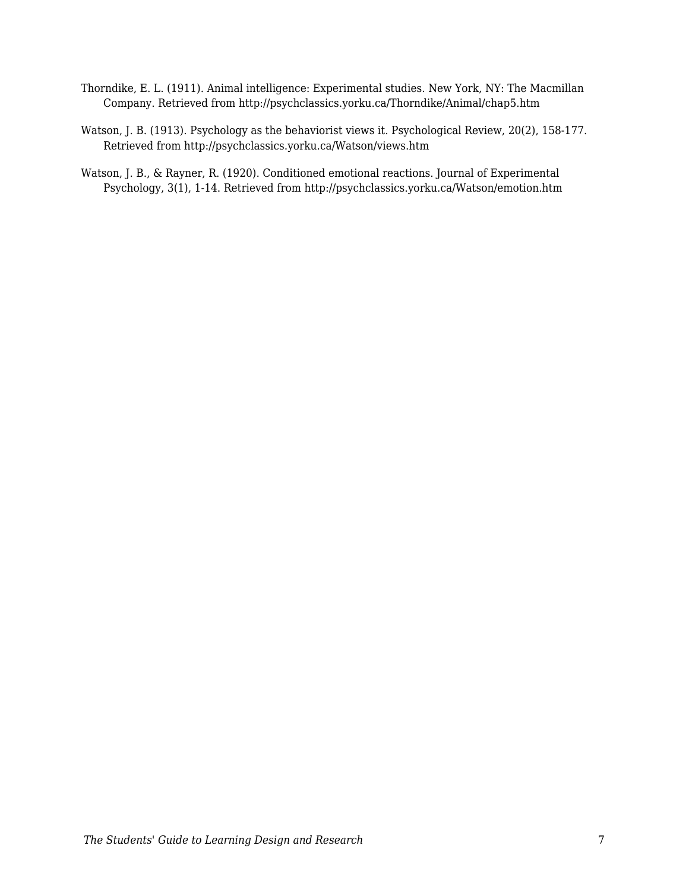- Thorndike, E. L. (1911). Animal intelligence: Experimental studies. New York, NY: The Macmillan Company. Retrieved from http://psychclassics.yorku.ca/Thorndike/Animal/chap5.htm
- Watson, J. B. (1913). Psychology as the behaviorist views it. Psychological Review, 20(2), 158-177. Retrieved from http://psychclassics.yorku.ca/Watson/views.htm
- Watson, J. B., & Rayner, R. (1920). Conditioned emotional reactions. Journal of Experimental Psychology, 3(1), 1-14. Retrieved from http://psychclassics.yorku.ca/Watson/emotion.htm